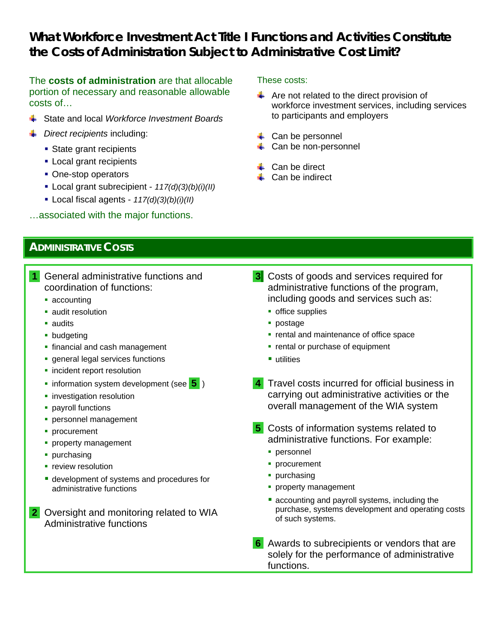# *What Workforce Investment Act Title I Functions and Activities Constitute the Costs of Administration Subject to Administrative Cost Limit?*

The **costs of administration** are that allocable portion of necessary and reasonable allowable costs of…

- State and local *Workforce Investment Boards*
- *Direct recipients* including:
	- State grant recipients
	- **Local grant recipients**
	- One-stop operators
	- Local grant subrecipient *117(d)(3)(b)(i)(II)*
	- Local fiscal agents *117(d)(3)(b)(i)(II)*

…associated with the major functions.

#### These costs:

- $\leftarrow$  Are not related to the direct provision of workforce investment services, including services to participants and employers
- $\leftarrow$  Can be personnel
- Can be non-personnel
- $\leftarrow$  Can be direct
- $\leftarrow$  Can be indirect

## *ADMINISTRATIVE COSTS*

- **1** General administrative functions and coordination of functions:
	- accounting
	- **audit resolution**
	- audits
	- **•** budgeting
	- **financial and cash management**
	- **general legal services functions**
	- **·** incident report resolution
	- **information system development (see 5)**
	- **·** investigation resolution
	- **•** payroll functions
	- **personnel management**
	- **procurement**
	- **property management**
	- purchasing
	- **•** review resolution
	- **development of systems and procedures for** administrative functions
- **2** Oversight and monitoring related to WIA Administrative functions
- **3** Costs of goods and services required for administrative functions of the program, including goods and services such as:
	- **•** office supplies
	- postage
	- **rental and maintenance of office space**
	- **•** rental or purchase of equipment
	- utilities
- **4** Travel costs incurred for official business in carrying out administrative activities or the overall management of the WIA system
- **5** Costs of information systems related to administrative functions. For example:
	- personnel
	- **procurement**
	- **purchasing**
	- **property management**
	- **E** accounting and payroll systems, including the purchase, systems development and operating costs of such systems.
- **6** Awards to subrecipients or vendors that are solely for the performance of administrative functions.